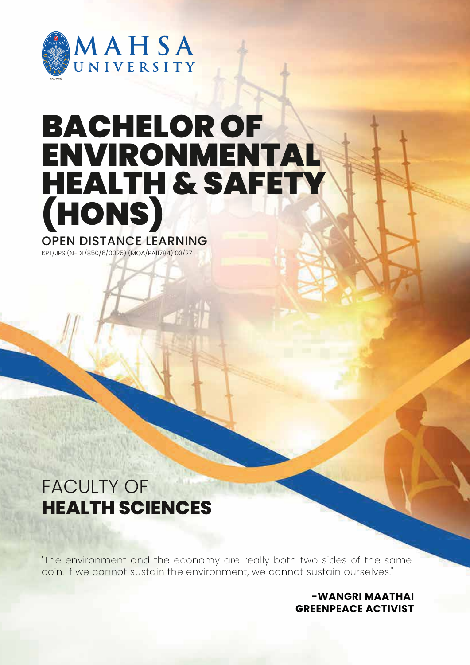

# BACHELOR OF ENVIRONMENTAL HEALTH & SAFETY (HONS)

OPEN DISTANCE LEARNING

KPT/JPS (N-DL/850/6/0025) (MQA/PA11784) 03/27

### FACULTY OF **HEALTH SCIENCES**

"The environment and the economy are really both two sides of the same coin. If we cannot sustain the environment, we cannot sustain ourselves."

> **-WANGRI MAATHAI GREENPEACE ACTIVIST**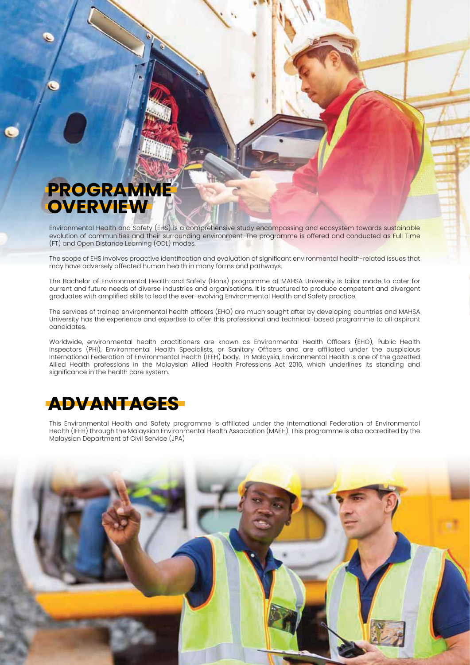### **PROGRAMME OVERVIEW**

Environmental Health and Safety (EHS) is a comprehensive study encompassing and ecosystem towards sustainable evolution of communities and their surrounding environment. The programme is offered and conducted as Full Time (FT) and Open Distance Learning (ODL) modes.

The scope of EHS involves proactive identification and evaluation of significant environmental health-related issues that may have adversely affected human health in many forms and pathways.

The Bachelor of Environmental Health and Safety (Hons) programme at MAHSA University is tailor made to cater for current and future needs of diverse industries and organisations. It is structured to produce competent and divergent graduates with amplified skills to lead the ever-evolving Environmental Health and Safety practice.

The services of trained environmental health officers (EHO) are much sought after by developing countries and MAHSA University has the experience and expertise to offer this professional and technical-based programme to all aspirant candidates.

Worldwide, environmental health practitioners are known as Environmental Health Officers (EHO), Public Health Inspectors (PHI), Environmental Health Specialists, or Sanitary Officers and are affiliated under the auspicious International Federation of Environmental Health (IFEH) body. In Malaysia, Environmental Health is one of the gazetted Allied Health professions in the Malaysian Allied Health Professions Act 2016, which underlines its standing and significance in the health care system.

### **ADVANTAGES**

This Environmental Health and Safety programme is affiliated under the International Federation of Environmental Health (IFEH) through the Malaysian Environmental Health Association (MAEH). This programme is also accredited by the Malaysian Department of Civil Service (JPA)

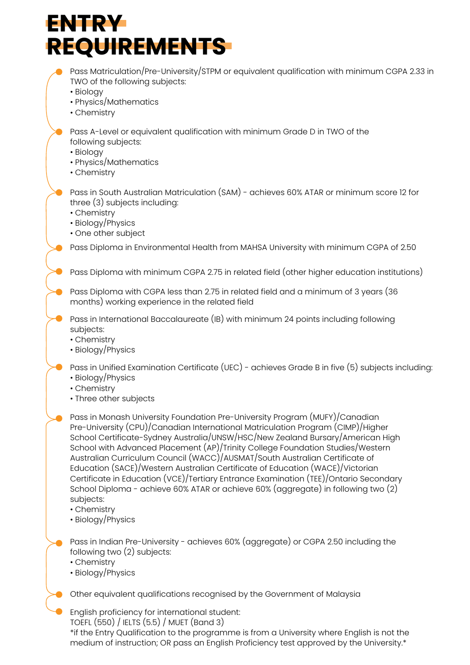## **ENTRY REQUIREMENTS**

Pass Matriculation/Pre-University/STPM or equivalent qualification with minimum CGPA 2.33 in TWO of the following subjects: • Biology • Physics/Mathematics • Chemistry Pass A-Level or equivalent qualification with minimum Grade D in TWO of the following subjects: • Biology • Physics/Mathematics • Chemistry Pass in South Australian Matriculation (SAM) - achieves 60% ATAR or minimum score 12 for three (3) subjects including: • Chemistry • Biology/Physics • One other subject Pass Diploma in Environmental Health from MAHSA University with minimum CGPA of 2.50 Pass Diploma with minimum CGPA 2.75 in related field (other higher education institutions) Pass Diploma with CGPA less than 2.75 in related field and a minimum of 3 years (36 months) working experience in the related field Pass in International Baccalaureate (IB) with minimum 24 points including following subjects: • Chemistry • Biology/Physics Pass in Unified Examination Certificate (UEC) - achieves Grade B in five (5) subjects including: • Biology/Physics • Chemistry • Three other subjects Pass in Indian Pre-University - achieves 60% (aggregate) or CGPA 2.50 including the following two (2) subjects: • Chemistry • Biology/Physics Other equivalent qualifications recognised by the Government of Malaysia English proficiency for international student: TOEFL (550) / IELTS (5.5) / MUET (Band 3) Pass in Monash University Foundation Pre-University Program (MUFY)/Canadian Pre-University (CPU)/Canadian International Matriculation Program (CIMP)/Higher School Certificate-Sydney Australia/UNSW/HSC/New Zealand Bursary/American High School with Advanced Placement (AP)/Trinity College Foundation Studies/Western Australian Curriculum Council (WACC)/AUSMAT/South Australian Certificate of Education (SACE)/Western Australian Certificate of Education (WACE)/Victorian Certificate in Education (VCE)/Tertiary Entrance Examination (TEE)/Ontario Secondary School Diploma - achieve 60% ATAR or achieve 60% (aggregate) in following two (2) subjects: • Chemistry • Biology/Physics

\*if the Entry Qualification to the programme is from a University where English is not the medium of instruction; OR pass an English Proficiency test approved by the University.\*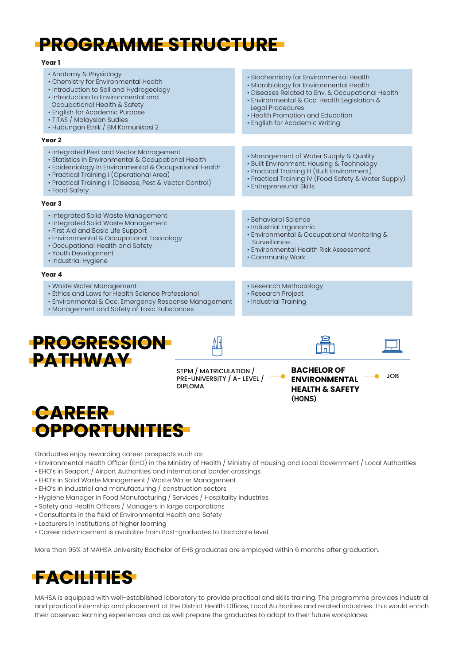### **PROGRAMME STRUCTURE**

| I<br>$\sim$ |  |
|-------------|--|
|             |  |

| 1 GUI 1                                                                                                                                                                                                                                                                                |                                                                                                                                                                                                                                                                                 |  |
|----------------------------------------------------------------------------------------------------------------------------------------------------------------------------------------------------------------------------------------------------------------------------------------|---------------------------------------------------------------------------------------------------------------------------------------------------------------------------------------------------------------------------------------------------------------------------------|--|
| • Anatomy & Physiology<br>• Chemistry for Environmental Health<br>• Introduction to Soil and Hydrogeology<br>• Introduction to Environmental and<br>Occupational Health & Safety<br>• English for Academic Purpose<br>• TITAS / Malaysian Sudies<br>· Hubungan Etnik / BM Komunikasi 2 | • Biochemistry for Environmental Health<br>• Microbiology for Environmental Health<br>· Diseases Related to Env. & Occupational Health<br>· Environmental & Occ. Health Legislation &<br>Legal Procedures<br>• Health Promotion and Education<br>• English for Academic Writing |  |
| Year <sub>2</sub>                                                                                                                                                                                                                                                                      |                                                                                                                                                                                                                                                                                 |  |
| • Integrated Pest and Vector Management<br>· Statistics in Environmental & Occupational Health<br>· Epidemiology In Environmental & Occupational Health<br>• Practical Training I (Operational Area)<br>• Practical Training II (Disease, Pest & Vector Control)<br>• Food Safety      | • Management of Water Supply & Quality<br>• Built Environment, Housing & Technology<br>• Practical Training III (Built Environment)<br>• Practical Training IV (Food Safety & Water Supply)<br>• Entrepreneurial Skills                                                         |  |
| Year <sub>3</sub>                                                                                                                                                                                                                                                                      |                                                                                                                                                                                                                                                                                 |  |
| · Integrated Solid Waste Management<br>• Integrated Solid Waste Management<br>• First Aid and Basic Life Support<br>· Environmental & Occupational Toxicology<br>• Occupational Health and Safety<br>• Youth Development<br>· Industrial Hygiene                                       | • Behavioral Science<br>· Industrial Ergonomic<br>• Environmental & Occupational Monitoring &<br>Surveillance<br>• Environmental Health Risk Assessment<br>• Community Work                                                                                                     |  |
| Year 4                                                                                                                                                                                                                                                                                 |                                                                                                                                                                                                                                                                                 |  |
| • Waste Water Management<br>• Ethics and Laws for Health Science Professional<br>• Environmental & Occ. Emergency Response Management<br>• Management and Safety of Toxic Substances                                                                                                   | • Research Methodology<br>• Research Project<br>· Industrial Training                                                                                                                                                                                                           |  |
|                                                                                                                                                                                                                                                                                        |                                                                                                                                                                                                                                                                                 |  |

#### **PROGRESSION PATHWAY**

STPM / MATRICULATION / PRE-UNIVERSITY / A- LEVEL / DIPLOMA

**BACHELOR OF ENVIRONMENTAL HEALTH & SAFETY** (HONS)

JOB



Graduates enjoy rewarding career prospects such as:

- Environmental Health Officer (EHO) in the Ministry of Health / Ministry of Housing and Local Government / Local Authorities
- EHO's in Seaport / Airport Authorities and international border crossings
- EHO's in Solid Waste Management / Waste Water Management
- EHO's in industrial and manufacturing / construction sectors
- Hygiene Manager in Food Manufacturing / Services / Hospitality industries
- Safety and Health Officers / Managers in large corporations
- Consultants in the field of Environmental Health and Safety
- Lecturers in institutions of higher learning
- Career advancement is available from Post-graduates to Doctorate level.

More than 95% of MAHSA University Bachelor of EHS graduates are employed within 6 months after graduation.

### **FACILITIES**

MAHSA is equipped with well-established laboratory to provide practical and skills training. The programme provides industrial and practical internship and placement at the District Health Offices, Local Authorities and related industries. This would enrich their observed learning experiences and as well prepare the graduates to adapt to their future workplaces.